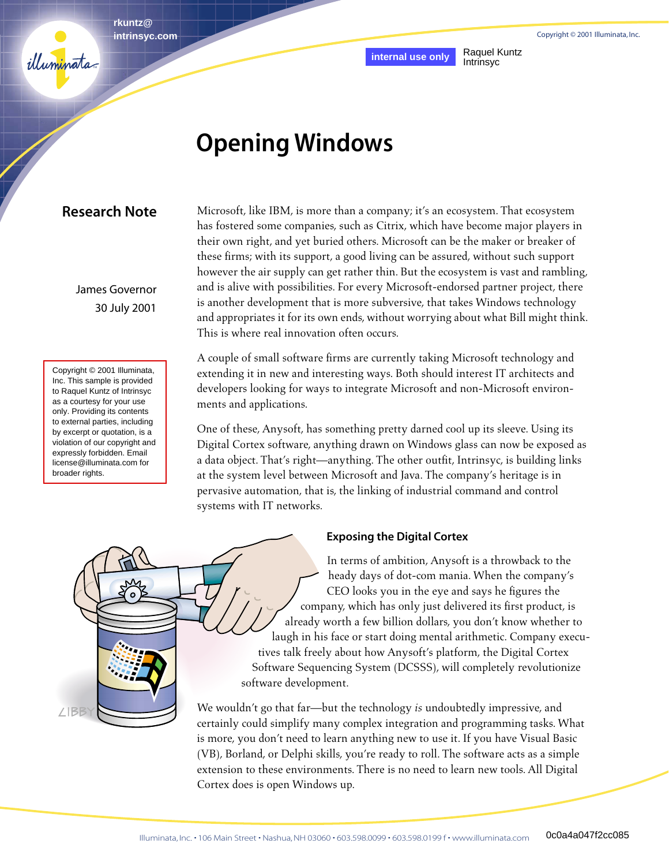Copyright © 2001 Illuminata, Inc.

**rkuntz@ intrinsyc.com**

**internal use only** Raquel Kuntz

# Intrinsyc

# **Opening Windows**

# **Research Note**

illuminata

James Governor 30 July 2001

Copyright © 2001 Illuminata, Inc. This sample is provided to Raquel Kuntz of Intrinsyc as a courtesy for your use only. Providing its contents to external parties, including by excerpt or quotation, is a violation of our copyright and expressly forbidden. Email license@illuminata.com for broader rights.

Microsoft, like IBM, is more than a company; it's an ecosystem. That ecosystem has fostered some companies, such as Citrix, which have become major players in their own right, and yet buried others. Microsoft can be the maker or breaker of these firms; with its support, a good living can be assured, without such support however the air supply can get rather thin. But the ecosystem is vast and rambling, and is alive with possibilities. For every Microsoft-endorsed partner project, there is another development that is more subversive, that takes Windows technology and appropriates it for its own ends, without worrying about what Bill might think. This is where real innovation often occurs.

A couple of small software firms are currently taking Microsoft technology and extending it in new and interesting ways. Both should interest IT architects and developers looking for ways to integrate Microsoft and non-Microsoft environments and applications.

One of these, Anysoft, has something pretty darned cool up its sleeve. Using its Digital Cortex software, anything drawn on Windows glass can now be exposed as a data object. That's right—anything. The other outfit, Intrinsyc, is building links at the system level between Microsoft and Java. The company's heritage is in pervasive automation, that is, the linking of industrial command and control systems with IT networks.



#### **Exposing the Digital Cortex**

In terms of ambition, Anysoft is a throwback to the heady days of dot-com mania. When the company's CEO looks you in the eye and says he figures the company, which has only just delivered its first product, is already worth a few billion dollars, you don't know whether to laugh in his face or start doing mental arithmetic. Company executives talk freely about how Anysoft's platform, the Digital Cortex Software Sequencing System (DCSSS), will completely revolutionize software development.

We wouldn't go that far—but the technology *is* undoubtedly impressive, and certainly could simplify many complex integration and programming tasks. What is more, you don't need to learn anything new to use it. If you have Visual Basic (VB), Borland, or Delphi skills, you're ready to roll. The software acts as a simple extension to these environments. There is no need to learn new tools. All Digital Cortex does is open Windows up.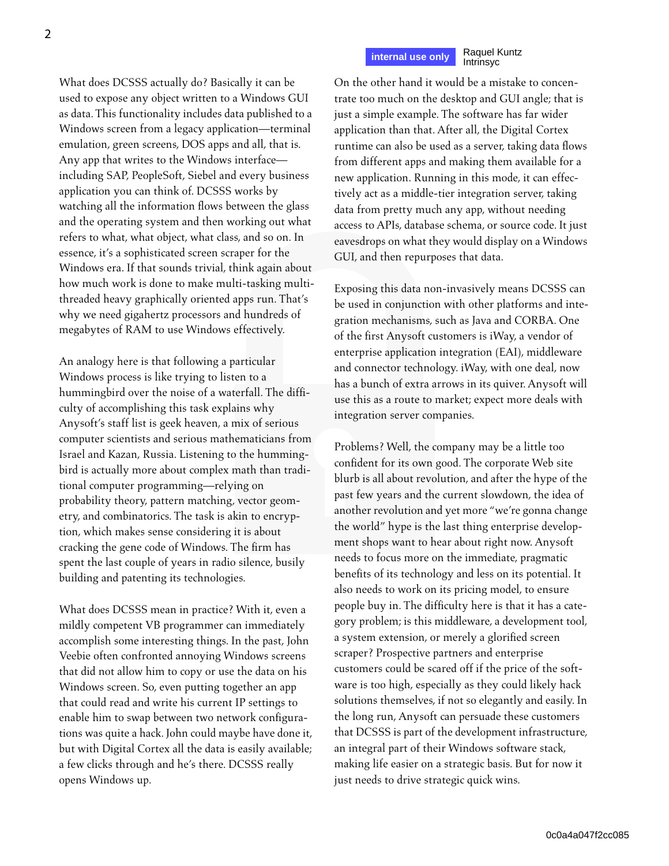# **internal use only** Raquel Kuntz

Intrinsyc

What does DCSSS actually do? Basically it can be used to expose any object written to a Windows GUI as data. This functionality includes data published to a Windows screen from a legacy application—terminal emulation, green screens, DOS apps and all, that is. Any app that writes to the Windows interface including SAP, PeopleSoft, Siebel and every business application you can think of. DCSSS works by watching all the information flows between the glass and the operating system and then working out what refers to what, what object, what class, and so on. In essence, it's a sophisticated screen scraper for the Windows era. If that sounds trivial, think again about how much work is done to make multi-tasking multithreaded heavy graphically oriented apps run. That's why we need gigahertz processors and hundreds of megabytes of RAM to use Windows effectively.

An analogy here is that following a particular Windows process is like trying to listen to a hummingbird over the noise of a waterfall. The difficulty of accomplishing this task explains why Anysoft's staff list is geek heaven, a mix of serious computer scientists and serious mathematicians from Israel and Kazan, Russia. Listening to the hummingbird is actually more about complex math than traditional computer programming—relying on probability theory, pattern matching, vector geometry, and combinatorics. The task is akin to encryption, which makes sense considering it is about cracking the gene code of Windows. The firm has spent the last couple of years in radio silence, busily building and patenting its technologies.

What does DCSSS mean in practice? With it, even a mildly competent VB programmer can immediately accomplish some interesting things. In the past, John Veebie often confronted annoying Windows screens that did not allow him to copy or use the data on his Windows screen. So, even putting together an app that could read and write his current IP settings to enable him to swap between two network configurations was quite a hack. John could maybe have done it, but with Digital Cortex all the data is easily available; a few clicks through and he's there. DCSSS really opens Windows up.

On the other hand it would be a mistake to concentrate too much on the desktop and GUI angle; that is just a simple example. The software has far wider application than that. After all, the Digital Cortex runtime can also be used as a server, taking data flows from different apps and making them available for a new application. Running in this mode, it can effectively act as a middle-tier integration server, taking data from pretty much any app, without needing access to APIs, database schema, or source code. It just eavesdrops on what they would display on a Windows GUI, and then repurposes that data.

Exposing this data non-invasively means DCSSS can be used in conjunction with other platforms and integration mechanisms, such as Java and CORBA. One of the first Anysoft customers is iWay, a vendor of enterprise application integration (EAI), middleware and connector technology. iWay, with one deal, now has a bunch of extra arrows in its quiver. Anysoft will use this as a route to market; expect more deals with integration server companies.

Problems? Well, the company may be a little too confident for its own good. The corporate Web site blurb is all about revolution, and after the hype of the past few years and the current slowdown, the idea of another revolution and yet more "we're gonna change the world" hype is the last thing enterprise development shops want to hear about right now. Anysoft needs to focus more on the immediate, pragmatic benefits of its technology and less on its potential. It also needs to work on its pricing model, to ensure people buy in. The difficulty here is that it has a category problem; is this middleware, a development tool, a system extension, or merely a glorified screen scraper? Prospective partners and enterprise customers could be scared off if the price of the software is too high, especially as they could likely hack solutions themselves, if not so elegantly and easily. In the long run, Anysoft can persuade these customers that DCSSS is part of the development infrastructure, an integral part of their Windows software stack, making life easier on a strategic basis. But for now it just needs to drive strategic quick wins.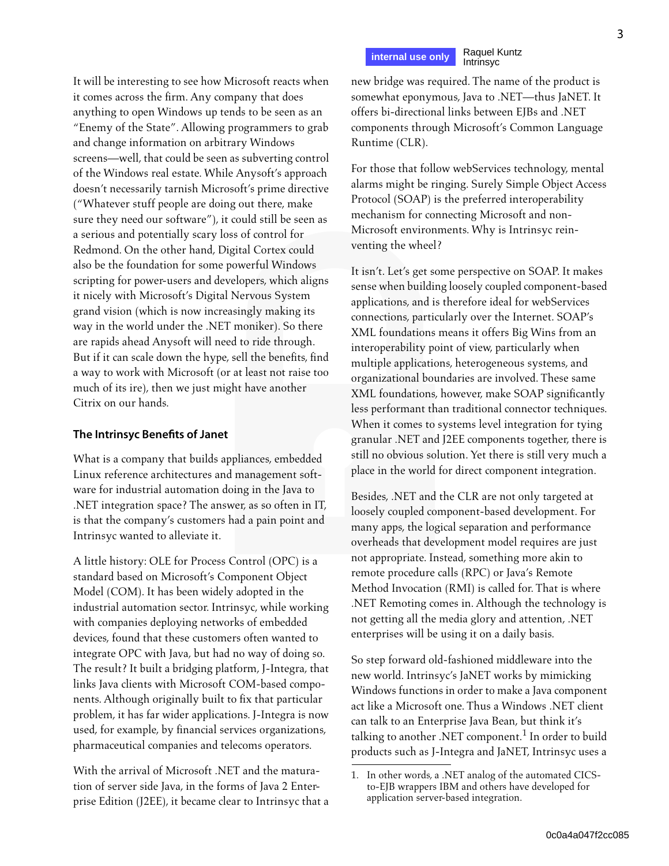**internal use only** Raquel Kuntz Intrinsyc

new bridge was required. The name of the product is somewhat eponymous, Java to .NET—thus JaNET. It offers bi-directional links between EJBs and .NET components through Microsoft's Common Language Runtime (CLR).

For those that follow webServices technology, mental alarms might be ringing. Surely Simple Object Access Protocol (SOAP) is the preferred interoperability mechanism for connecting Microsoft and non-Microsoft environments. Why is Intrinsyc reinventing the wheel?

It isn't. Let's get some perspective on SOAP. It makes sense when building loosely coupled component-based applications, and is therefore ideal for webServices connections, particularly over the Internet. SOAP's XML foundations means it offers Big Wins from an interoperability point of view, particularly when multiple applications, heterogeneous systems, and organizational boundaries are involved. These same XML foundations, however, make SOAP significantly less performant than traditional connector techniques. When it comes to systems level integration for tying granular .NET and J2EE components together, there is still no obvious solution. Yet there is still very much a place in the world for direct component integration.

Besides, .NET and the CLR are not only targeted at loosely coupled component-based development. For many apps, the logical separation and performance overheads that development model requires are just not appropriate. Instead, something more akin to remote procedure calls (RPC) or Java's Remote Method Invocation (RMI) is called for. That is where .NET Remoting comes in. Although the technology is not getting all the media glory and attention, .NET enterprises will be using it on a daily basis.

So step forward old-fashioned middleware into the new world. Intrinsyc's JaNET works by mimicking Windows functions in order to make a Java component act like a Microsoft one. Thus a Windows .NET client can talk to an Enterprise Java Bean, but think it's talking to another .NET component. $^1$  In order to build products such as J-Integra and JaNET, Intrinsyc uses a

It will be interesting to see how Microsoft reacts when it comes across the firm. Any company that does anything to open Windows up tends to be seen as an "Enemy of the State". Allowing programmers to grab and change information on arbitrary Windows screens—well, that could be seen as subverting control of the Windows real estate. While Anysoft's approach doesn't necessarily tarnish Microsoft's prime directive ("Whatever stuff people are doing out there, make sure they need our software"), it could still be seen as a serious and potentially scary loss of control for Redmond. On the other hand, Digital Cortex could also be the foundation for some powerful Windows scripting for power-users and developers, which aligns it nicely with Microsoft's Digital Nervous System grand vision (which is now increasingly making its way in the world under the .NET moniker). So there are rapids ahead Anysoft will need to ride through. But if it can scale down the hype, sell the benefits, find a way to work with Microsoft (or at least not raise too much of its ire), then we just might have another Citrix on our hands.

#### **The Intrinsyc Benefits of Janet**

What is a company that builds appliances, embedded Linux reference architectures and management software for industrial automation doing in the Java to .NET integration space? The answer, as so often in IT, is that the company's customers had a pain point and Intrinsyc wanted to alleviate it.

A little history: OLE for Process Control (OPC) is a standard based on Microsoft's Component Object Model (COM). It has been widely adopted in the industrial automation sector. Intrinsyc, while working with companies deploying networks of embedded devices, found that these customers often wanted to integrate OPC with Java, but had no way of doing so. The result? It built a bridging platform, J-Integra, that links Java clients with Microsoft COM-based components. Although originally built to fix that particular problem, it has far wider applications. J-Integra is now used, for example, by financial services organizations, pharmaceutical companies and telecoms operators.

With the arrival of Microsoft .NET and the maturation of server side Java, in the forms of Java 2 Enterprise Edition (J2EE), it became clear to Intrinsyc that a

<sup>1.</sup> In other words, a .NET analog of the automated CICSto-EJB wrappers IBM and others have developed for application server-based integration.